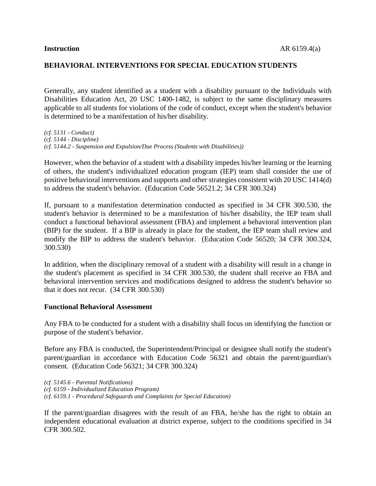### **BEHAVIORAL INTERVENTIONS FOR SPECIAL EDUCATION STUDENTS**

Generally, any student identified as a student with a disability pursuant to the Individuals with Disabilities Education Act, 20 USC 1400-1482, is subject to the same disciplinary measures applicable to all students for violations of the code of conduct, except when the student's behavior is determined to be a manifestation of his/her disability.

*(cf. 5131 - Conduct) (cf. 5144 - Discipline) (cf. 5144.2 - Suspension and Expulsion/Due Process (Students with Disabilities))*

However, when the behavior of a student with a disability impedes his/her learning or the learning of others, the student's individualized education program (IEP) team shall consider the use of positive behavioral interventions and supports and other strategies consistent with 20 USC 1414(d) to address the student's behavior. (Education Code 56521.2; 34 CFR 300.324)

If, pursuant to a manifestation determination conducted as specified in 34 CFR 300.530, the student's behavior is determined to be a manifestation of his/her disability, the IEP team shall conduct a functional behavioral assessment (FBA) and implement a behavioral intervention plan (BIP) for the student. If a BIP is already in place for the student, the IEP team shall review and modify the BIP to address the student's behavior. (Education Code 56520; 34 CFR 300.324, 300.530)

In addition, when the disciplinary removal of a student with a disability will result in a change in the student's placement as specified in 34 CFR 300.530, the student shall receive an FBA and behavioral intervention services and modifications designed to address the student's behavior so that it does not recur. (34 CFR 300.530)

#### **Functional Behavioral Assessment**

Any FBA to be conducted for a student with a disability shall focus on identifying the function or purpose of the student's behavior.

Before any FBA is conducted, the Superintendent/Principal or designee shall notify the student's parent/guardian in accordance with Education Code 56321 and obtain the parent/guardian's consent. (Education Code 56321; 34 CFR 300.324)

*(cf. 5145.6 - Parental Notifications) (cf. 6159 - Individualized Education Program) (cf. 6159.1 - Procedural Safeguards and Complaints for Special Education)*

If the parent/guardian disagrees with the result of an FBA, he/she has the right to obtain an independent educational evaluation at district expense, subject to the conditions specified in 34 CFR 300.502.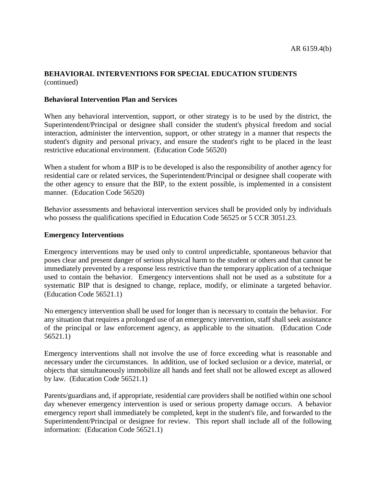# **BEHAVIORAL INTERVENTIONS FOR SPECIAL EDUCATION STUDENTS** (continued)

### **Behavioral Intervention Plan and Services**

When any behavioral intervention, support, or other strategy is to be used by the district, the Superintendent/Principal or designee shall consider the student's physical freedom and social interaction, administer the intervention, support, or other strategy in a manner that respects the student's dignity and personal privacy, and ensure the student's right to be placed in the least restrictive educational environment. (Education Code 56520)

When a student for whom a BIP is to be developed is also the responsibility of another agency for residential care or related services, the Superintendent/Principal or designee shall cooperate with the other agency to ensure that the BIP, to the extent possible, is implemented in a consistent manner. (Education Code 56520)

Behavior assessments and behavioral intervention services shall be provided only by individuals who possess the qualifications specified in Education Code 56525 or 5 CCR 3051.23.

#### **Emergency Interventions**

Emergency interventions may be used only to control unpredictable, spontaneous behavior that poses clear and present danger of serious physical harm to the student or others and that cannot be immediately prevented by a response less restrictive than the temporary application of a technique used to contain the behavior. Emergency interventions shall not be used as a substitute for a systematic BIP that is designed to change, replace, modify, or eliminate a targeted behavior. (Education Code 56521.1)

No emergency intervention shall be used for longer than is necessary to contain the behavior. For any situation that requires a prolonged use of an emergency intervention, staff shall seek assistance of the principal or law enforcement agency, as applicable to the situation. (Education Code 56521.1)

Emergency interventions shall not involve the use of force exceeding what is reasonable and necessary under the circumstances. In addition, use of locked seclusion or a device, material, or objects that simultaneously immobilize all hands and feet shall not be allowed except as allowed by law. (Education Code 56521.1)

Parents/guardians and, if appropriate, residential care providers shall be notified within one school day whenever emergency intervention is used or serious property damage occurs. A behavior emergency report shall immediately be completed, kept in the student's file, and forwarded to the Superintendent/Principal or designee for review. This report shall include all of the following information: (Education Code 56521.1)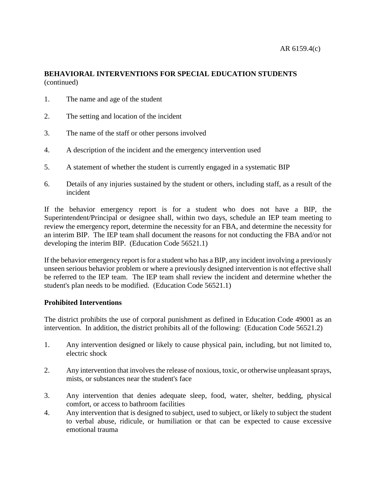# **BEHAVIORAL INTERVENTIONS FOR SPECIAL EDUCATION STUDENTS** (continued)

- 1. The name and age of the student
- 2. The setting and location of the incident
- 3. The name of the staff or other persons involved
- 4. A description of the incident and the emergency intervention used
- 5. A statement of whether the student is currently engaged in a systematic BIP
- 6. Details of any injuries sustained by the student or others, including staff, as a result of the incident

If the behavior emergency report is for a student who does not have a BIP, the Superintendent/Principal or designee shall, within two days, schedule an IEP team meeting to review the emergency report, determine the necessity for an FBA, and determine the necessity for an interim BIP. The IEP team shall document the reasons for not conducting the FBA and/or not developing the interim BIP. (Education Code 56521.1)

If the behavior emergency report is for a student who has a BIP, any incident involving a previously unseen serious behavior problem or where a previously designed intervention is not effective shall be referred to the IEP team. The IEP team shall review the incident and determine whether the student's plan needs to be modified. (Education Code 56521.1)

# **Prohibited Interventions**

The district prohibits the use of corporal punishment as defined in Education Code 49001 as an intervention. In addition, the district prohibits all of the following: (Education Code 56521.2)

- 1. Any intervention designed or likely to cause physical pain, including, but not limited to, electric shock
- 2. Any intervention that involves the release of noxious, toxic, or otherwise unpleasant sprays, mists, or substances near the student's face
- 3. Any intervention that denies adequate sleep, food, water, shelter, bedding, physical comfort, or access to bathroom facilities
- 4. Any intervention that is designed to subject, used to subject, or likely to subject the student to verbal abuse, ridicule, or humiliation or that can be expected to cause excessive emotional trauma